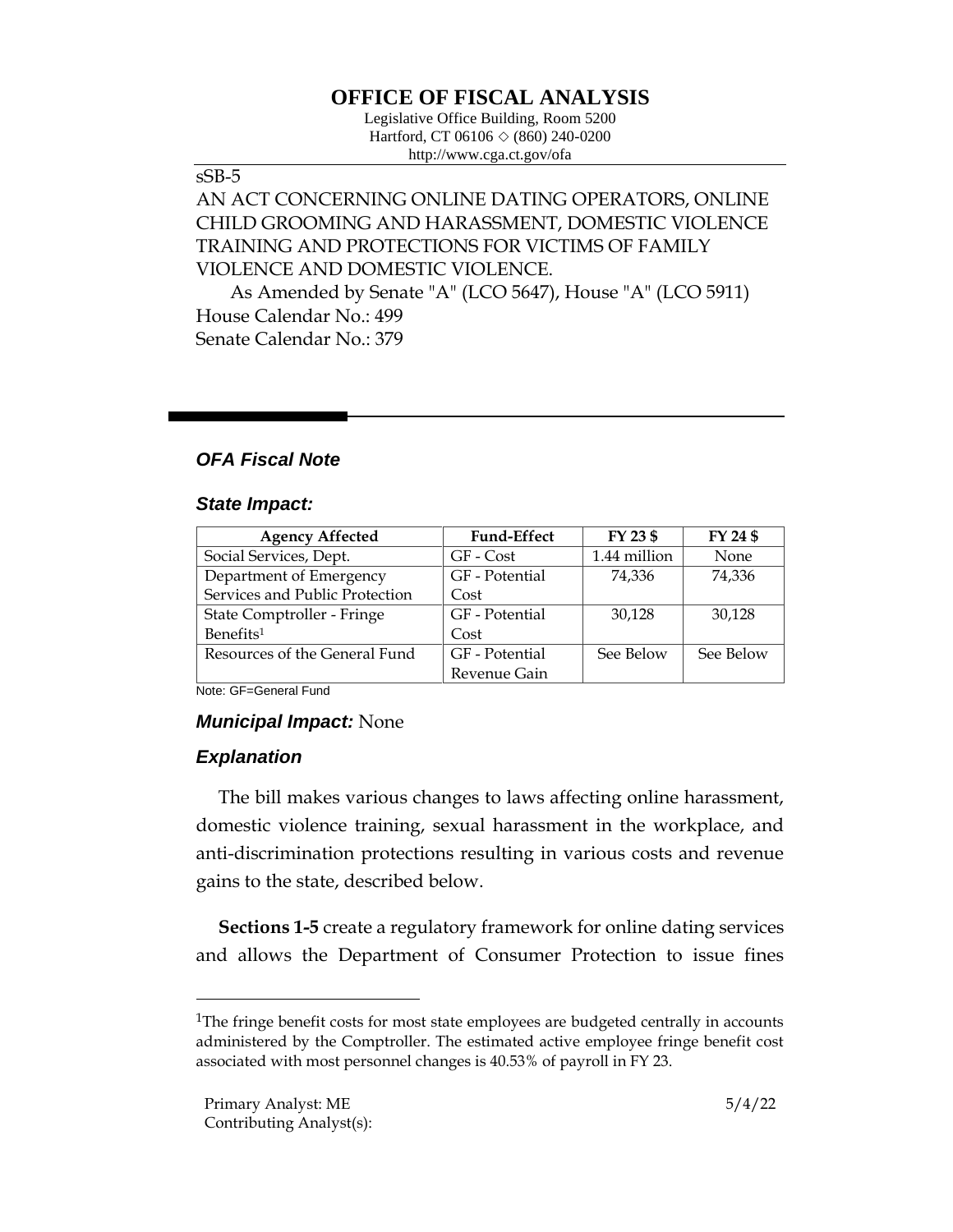# **OFFICE OF FISCAL ANALYSIS**

Legislative Office Building, Room 5200 Hartford, CT 06106  $\Diamond$  (860) 240-0200 http://www.cga.ct.gov/ofa

#### sSB-5

# AN ACT CONCERNING ONLINE DATING OPERATORS, ONLINE CHILD GROOMING AND HARASSMENT, DOMESTIC VIOLENCE TRAINING AND PROTECTIONS FOR VICTIMS OF FAMILY VIOLENCE AND DOMESTIC VIOLENCE.

As Amended by Senate "A" (LCO 5647), House "A" (LCO 5911) House Calendar No.: 499 Senate Calendar No.: 379

## *OFA Fiscal Note*

#### *State Impact:*

| <b>Agency Affected</b>         | <b>Fund-Effect</b> | FY 23 \$     | FY 24 \$  |
|--------------------------------|--------------------|--------------|-----------|
| Social Services, Dept.         | GF - Cost          | 1.44 million | None      |
| Department of Emergency        | GF - Potential     | 74.336       | 74,336    |
| Services and Public Protection | Cost               |              |           |
| State Comptroller - Fringe     | GF - Potential     | 30,128       | 30,128    |
| Benefits <sup>1</sup>          | Cost               |              |           |
| Resources of the General Fund  | GF - Potential     | See Below    | See Below |
|                                | Revenue Gain       |              |           |

Note: GF=General Fund

#### *Municipal Impact:* None

## *Explanation*

The bill makes various changes to laws affecting online harassment, domestic violence training, sexual harassment in the workplace, and anti-discrimination protections resulting in various costs and revenue gains to the state, described below.

**Sections 1-5** create a regulatory framework for online dating services and allows the Department of Consumer Protection to issue fines

<sup>&</sup>lt;sup>1</sup>The fringe benefit costs for most state employees are budgeted centrally in accounts administered by the Comptroller. The estimated active employee fringe benefit cost associated with most personnel changes is 40.53% of payroll in FY 23.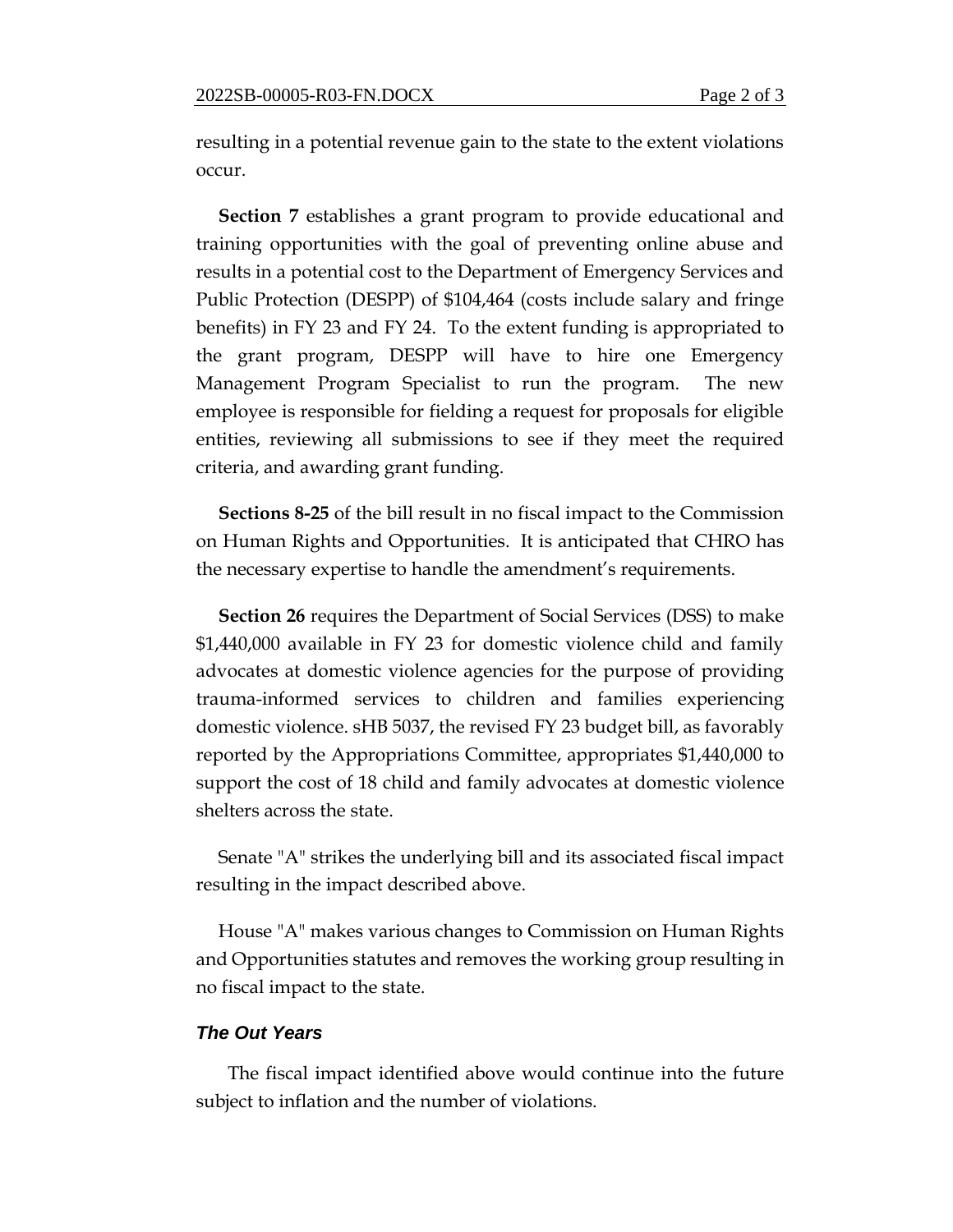resulting in a potential revenue gain to the state to the extent violations occur.

**Section 7** establishes a grant program to provide educational and training opportunities with the goal of preventing online abuse and results in a potential cost to the Department of Emergency Services and Public Protection (DESPP) of \$104,464 (costs include salary and fringe benefits) in FY 23 and FY 24. To the extent funding is appropriated to the grant program, DESPP will have to hire one Emergency Management Program Specialist to run the program. The new employee is responsible for fielding a request for proposals for eligible entities, reviewing all submissions to see if they meet the required criteria, and awarding grant funding.

**Sections 8-25** of the bill result in no fiscal impact to the Commission on Human Rights and Opportunities. It is anticipated that CHRO has the necessary expertise to handle the amendment's requirements.

**Section 26** requires the Department of Social Services (DSS) to make \$1,440,000 available in FY 23 for domestic violence child and family advocates at domestic violence agencies for the purpose of providing trauma-informed services to children and families experiencing domestic violence. sHB 5037, the revised FY 23 budget bill, as favorably reported by the Appropriations Committee, appropriates \$1,440,000 to support the cost of 18 child and family advocates at domestic violence shelters across the state.

Senate "A" strikes the underlying bill and its associated fiscal impact resulting in the impact described above.

House "A" makes various changes to Commission on Human Rights and Opportunities statutes and removes the working group resulting in no fiscal impact to the state.

#### *The Out Years*

 The fiscal impact identified above would continue into the future subject to inflation and the number of violations.